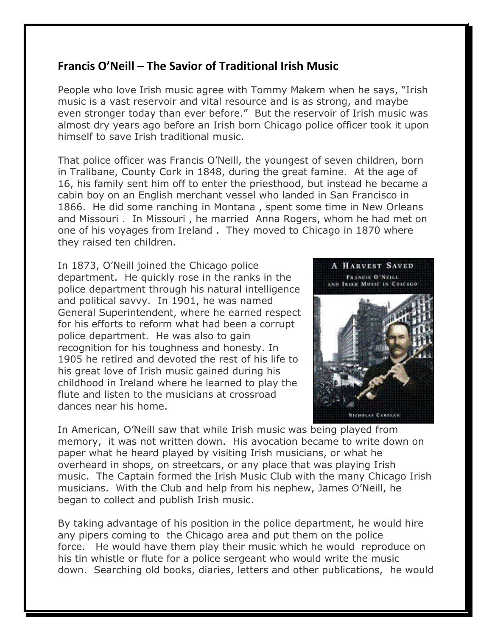## **Francis O'Neill – The Savior of Traditional Irish Music**

People who love Irish music agree with Tommy Makem when he says, "Irish music is a vast reservoir and vital resource and is as strong, and maybe even stronger today than ever before." But the reservoir of Irish music was almost dry years ago before an Irish born Chicago police officer took it upon himself to save Irish traditional music.

That police officer was Francis O'Neill, the youngest of seven children, born in Tralibane, County Cork in 1848, during the great famine. At the age of 16, his family sent him off to enter the priesthood, but instead he became a cabin boy on an English merchant vessel who landed in San Francisco in 1866. He did some ranching in Montana , spent some time in New Orleans and Missouri . In Missouri , he married Anna Rogers, whom he had met on one of his voyages from Ireland . They moved to Chicago in 1870 where they raised ten children.

In 1873, O'Neill joined the Chicago police department. He quickly rose in the ranks in the police department through his natural intelligence and political savvy. In 1901, he was named General Superintendent, where he earned respect for his efforts to reform what had been a corrupt police department. He was also to gain recognition for his toughness and honesty. In 1905 he retired and devoted the rest of his life to his great love of Irish music gained during his childhood in Ireland where he learned to play the flute and listen to the musicians at crossroad dances near his home.



In American, O'Neill saw that while Irish music was being played from memory, it was not written down. His avocation became to write down on paper what he heard played by visiting Irish musicians, or what he overheard in shops, on streetcars, or any place that was playing Irish music. The Captain formed the Irish Music Club with the many Chicago Irish musicians. With the Club and help from his nephew, James O'Neill, he began to collect and publish Irish music.

By taking advantage of his position in the police department, he would hire any pipers coming to the Chicago area and put them on the police force. He would have them play their music which he would reproduce on his tin whistle or flute for a police sergeant who would write the music down. Searching old books, diaries, letters and other publications, he would